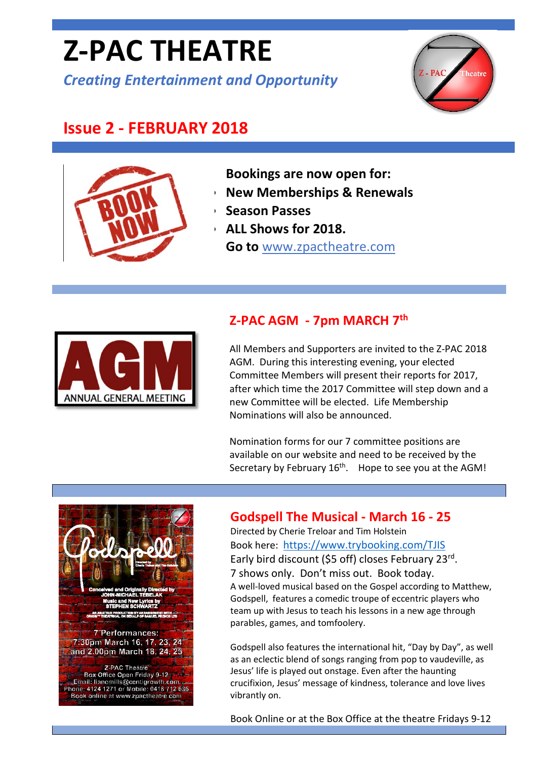# **Z-PAC THEATRE**

*Creating Entertainment and Opportunity*



# **Issue 2 - FEBRUARY 2018**



**Bookings are now open for:**

- **New Memberships & Renewals**
- **Season Passes**
- **ALL Shows for 2018. Go to** [www.zpactheatre.com](http://www.zpactheatre.com/)



## **Z-PAC AGM - 7pm MARCH 7th**

All Members and Supporters are invited to the Z-PAC 2018 AGM. During this interesting evening, your elected Committee Members will present their reports for 2017, after which time the 2017 Committee will step down and a new Committee will be elected. Life Membership Nominations will also be announced.

Nomination forms for our 7 committee positions are available on our website and need to be received by the Secretary by February  $16<sup>th</sup>$ . Hope to see you at the AGM!



#### **Godspell The Musical - March 16 - 25**

Directed by Cherie Treloar and Tim Holstein Book here: <https://www.trybooking.com/TJIS> Early bird discount (\$5 off) closes February 23rd. 7 shows only. Don't miss out. Book today. A well-loved musical based on the Gospel according to Matthew, Godspell, features a comedic troupe of eccentric players who team up with Jesus to teach his lessons in a new age through parables, games, and tomfoolery.

Godspell also features the international hit, "Day by Day", as well as an eclectic blend of songs ranging from pop to vaudeville, as Jesus' life is played out onstage. Even after the haunting crucifixion, Jesus' message of kindness, tolerance and love lives vibrantly on.

Book Online or at the Box Office at the theatre Fridays 9-12